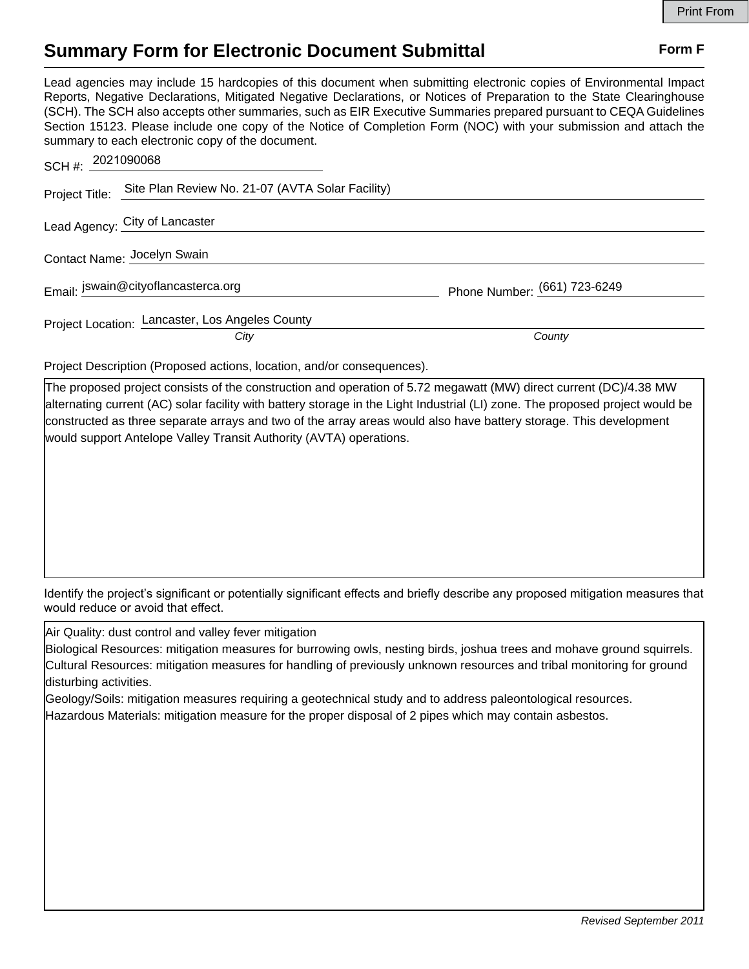## **Summary Form for Electronic Document Submittal Form F Form F**

Lead agencies may include 15 hardcopies of this document when submitting electronic copies of Environmental Impact Reports, Negative Declarations, Mitigated Negative Declarations, or Notices of Preparation to the State Clearinghouse (SCH). The SCH also accepts other summaries, such as EIR Executive Summaries prepared pursuant to CEQA Guidelines Section 15123. Please include one copy of the Notice of Completion Form (NOC) with your submission and attach the summary to each electronic copy of the document.

| Phone Number: (661) 723-6249 |
|------------------------------|
| County                       |
|                              |

Project Description (Proposed actions, location, and/or consequences).

The proposed project consists of the construction and operation of 5.72 megawatt (MW) direct current (DC)/4.38 MW alternating current (AC) solar facility with battery storage in the Light Industrial (LI) zone. The proposed project would be constructed as three separate arrays and two of the array areas would also have battery storage. This development would support Antelope Valley Transit Authority (AVTA) operations.

Identify the project's significant or potentially significant effects and briefly describe any proposed mitigation measures that would reduce or avoid that effect.

Air Quality: dust control and valley fever mitigation

| Biological Resources: mitigation measures for burrowing owls, nesting birds, joshua trees and mohave ground squirrels. |
|------------------------------------------------------------------------------------------------------------------------|
| Cultural Resources: mitigation measures for handling of previously unknown resources and tribal monitoring for ground  |
| disturbing activities.                                                                                                 |

Geology/Soils: mitigation measures requiring a geotechnical study and to address paleontological resources.

Hazardous Materials: mitigation measure for the proper disposal of 2 pipes which may contain asbestos.